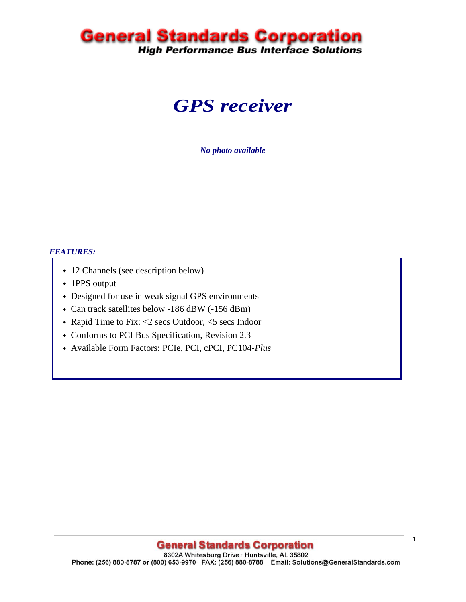# **General Standards Corporation**<br>High Performance Bus Interface Solutions

## *GPS receiver*

*No photo available* 

#### *FEATURES:*

- 12 Channels (see description below)
- 1PPS output
- Designed for use in weak signal GPS environments
- Can track satellites below -186 dBW (-156 dBm)
- Rapid Time to Fix: <2 secs Outdoor, <5 secs Indoor
- Conforms to PCI Bus Specification, Revision 2.3
- Available Form Factors: PCIe, PCI, cPCI, PC104-*Plus*

### **General Standards Corporation**